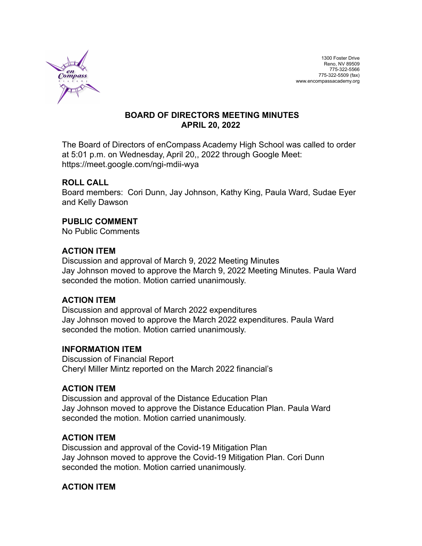

### **BOARD OF DIRECTORS MEETING MINUTES APRIL 20, 2022**

The Board of Directors of enCompass Academy High School was called to order at 5:01 p.m. on Wednesday, April 20,, 2022 through Google Meet: https://meet.google.com/ngi-mdii-wya

## **ROLL CALL**

Board members: Cori Dunn, Jay Johnson, Kathy King, Paula Ward, Sudae Eyer and Kelly Dawson

### **PUBLIC COMMENT**

No Public Comments

### **ACTION ITEM**

Discussion and approval of March 9, 2022 Meeting Minutes Jay Johnson moved to approve the March 9, 2022 Meeting Minutes. Paula Ward seconded the motion. Motion carried unanimously.

#### **ACTION ITEM**

Discussion and approval of March 2022 expenditures Jay Johnson moved to approve the March 2022 expenditures. Paula Ward seconded the motion. Motion carried unanimously.

#### **INFORMATION ITEM**

Discussion of Financial Report Cheryl Miller Mintz reported on the March 2022 financial's

#### **ACTION ITEM**

Discussion and approval of the Distance Education Plan Jay Johnson moved to approve the Distance Education Plan. Paula Ward seconded the motion. Motion carried unanimously.

## **ACTION ITEM**

Discussion and approval of the Covid-19 Mitigation Plan Jay Johnson moved to approve the Covid-19 Mitigation Plan. Cori Dunn seconded the motion. Motion carried unanimously.

## **ACTION ITEM**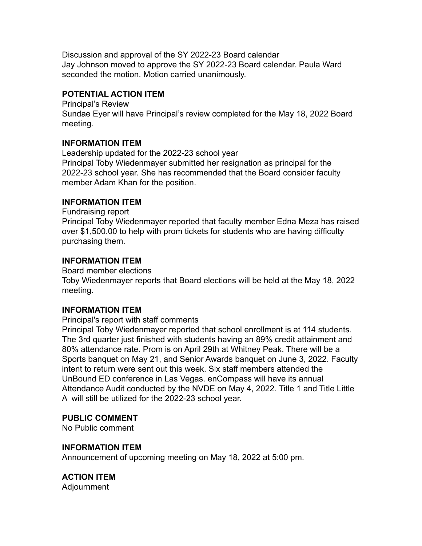Discussion and approval of the SY 2022-23 Board calendar Jay Johnson moved to approve the SY 2022-23 Board calendar. Paula Ward seconded the motion. Motion carried unanimously.

### **POTENTIAL ACTION ITEM**

Principal's Review Sundae Eyer will have Principal's review completed for the May 18, 2022 Board meeting.

### **INFORMATION ITEM**

Leadership updated for the 2022-23 school year Principal Toby Wiedenmayer submitted her resignation as principal for the 2022-23 school year. She has recommended that the Board consider faculty member Adam Khan for the position.

## **INFORMATION ITEM**

Fundraising report Principal Toby Wiedenmayer reported that faculty member Edna Meza has raised over \$1,500.00 to help with prom tickets for students who are having difficulty purchasing them.

## **INFORMATION ITEM**

Board member elections

Toby Wiedenmayer reports that Board elections will be held at the May 18, 2022 meeting.

#### **INFORMATION ITEM**

Principal's report with staff comments

Principal Toby Wiedenmayer reported that school enrollment is at 114 students. The 3rd quarter just finished with students having an 89% credit attainment and 80% attendance rate. Prom is on April 29th at Whitney Peak. There will be a Sports banquet on May 21, and Senior Awards banquet on June 3, 2022. Faculty intent to return were sent out this week. Six staff members attended the UnBound ED conference in Las Vegas. enCompass will have its annual Attendance Audit conducted by the NVDE on May 4, 2022. Title 1 and Title Little A will still be utilized for the 2022-23 school year.

## **PUBLIC COMMENT**

No Public comment

#### **INFORMATION ITEM**

Announcement of upcoming meeting on May 18, 2022 at 5:00 pm.

# **ACTION ITEM**

Adjournment